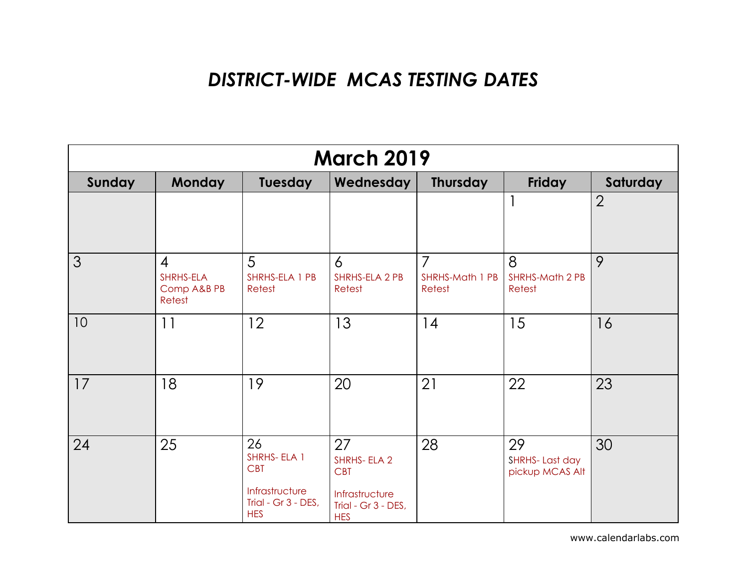## *DISTRICT-WIDE MCAS TESTING DATES*

| <b>March 2019</b> |                                                      |                                                                                        |                                                                                        |                                                    |                                         |                |  |
|-------------------|------------------------------------------------------|----------------------------------------------------------------------------------------|----------------------------------------------------------------------------------------|----------------------------------------------------|-----------------------------------------|----------------|--|
| Sunday            | <b>Monday</b>                                        | Tuesday                                                                                | Wednesday                                                                              | Thursday                                           | Friday                                  | Saturday       |  |
|                   |                                                      |                                                                                        |                                                                                        |                                                    | $\mathbf{1}$                            | $\overline{2}$ |  |
| 3                 | $\overline{4}$<br>SHRHS-ELA<br>Comp A&B PB<br>Retest | 5<br>SHRHS-ELA 1 PB<br>Retest                                                          | 6<br>SHRHS-ELA 2 PB<br>Retest                                                          | $\overline{7}$<br><b>SHRHS-Math 1 PB</b><br>Retest | 8<br><b>SHRHS-Math 2 PB</b><br>Retest   | 9              |  |
| 10                | 11                                                   | 12                                                                                     | 13                                                                                     | 14                                                 | 15                                      | 16             |  |
| 17                | 18                                                   | 19                                                                                     | 20                                                                                     | 21                                                 | 22                                      | 23             |  |
| 24                | 25                                                   | 26<br>SHRHS-ELA 1<br><b>CBT</b><br>Infrastructure<br>Trial - Gr 3 - DES,<br><b>HES</b> | 27<br>SHRHS-ELA 2<br><b>CBT</b><br>Infrastructure<br>Trial - Gr 3 - DES,<br><b>HES</b> | 28                                                 | 29<br>SHRHS-Last day<br>pickup MCAS Alt | 30             |  |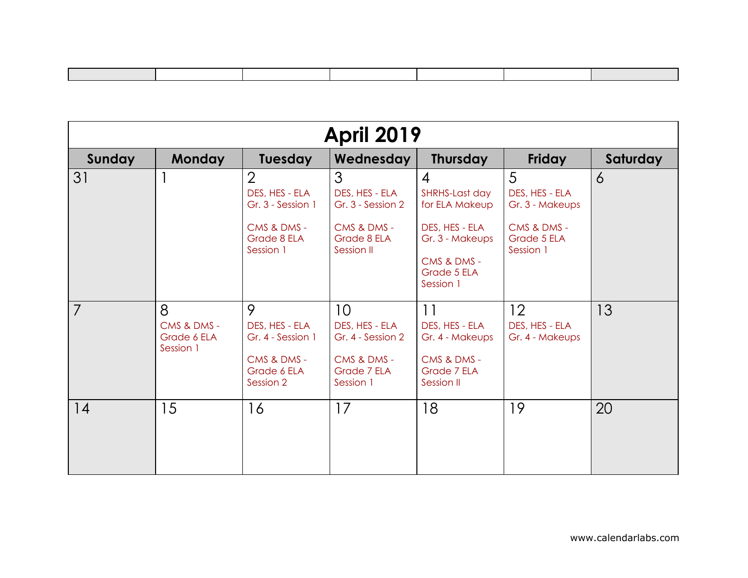| <b>April 2019</b> |                                              |                                                                                                  |                                                                                                   |                                                                                                                                      |                                                                                   |                |  |
|-------------------|----------------------------------------------|--------------------------------------------------------------------------------------------------|---------------------------------------------------------------------------------------------------|--------------------------------------------------------------------------------------------------------------------------------------|-----------------------------------------------------------------------------------|----------------|--|
| Sunday            | <b>Monday</b>                                | <b>Tuesday</b>                                                                                   | Wednesday                                                                                         | <b>Thursday</b>                                                                                                                      | Friday                                                                            | Saturday       |  |
| 31                |                                              | $\overline{2}$<br>DES, HES - ELA<br>Gr. 3 - Session 1<br>CMS & DMS -<br>Grade 8 ELA<br>Session 1 | 3<br>DES, HES - ELA<br>Gr. 3 - Session 2<br>CMS & DMS -<br>Grade 8 ELA<br>Session II              | $\boldsymbol{4}$<br>SHRHS-Last day<br>for ELA Makeup<br>DES, HES - ELA<br>Gr. 3 - Makeups<br>CMS & DMS -<br>Grade 5 ELA<br>Session 1 | 5<br>DES, HES - ELA<br>Gr. 3 - Makeups<br>CMS & DMS -<br>Grade 5 ELA<br>Session 1 | $\overline{6}$ |  |
| $\overline{7}$    | 8<br>CMS & DMS -<br>Grade 6 ELA<br>Session 1 | 9<br>DES, HES - ELA<br>Gr. 4 - Session 1<br>CMS & DMS -<br>Grade 6 ELA<br>Session 2              | 10 <sup>°</sup><br>DES, HES - ELA<br>Gr. 4 - Session 2<br>CMS & DMS -<br>Grade 7 ELA<br>Session 1 | 11<br>DES, HES - ELA<br>Gr. 4 - Makeups<br>CMS & DMS -<br>Grade 7 ELA<br>Session II                                                  | 12<br>DES, HES - ELA<br>Gr. 4 - Makeups                                           | 13             |  |
| 14                | 15                                           | 16                                                                                               | 17                                                                                                | 18                                                                                                                                   | 19                                                                                | 20             |  |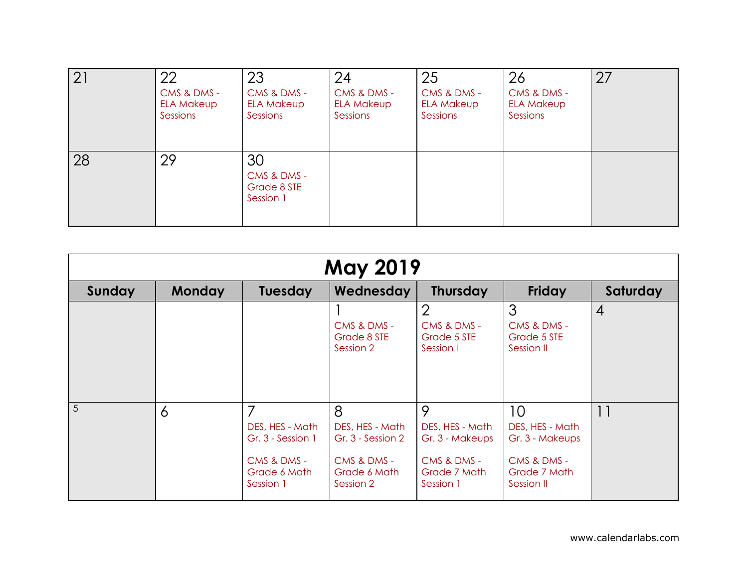| 21 | 22<br>CMS & DMS -<br><b>ELA Makeup</b><br>Sessions | 23<br>CMS & DMS -<br><b>ELA Makeup</b><br>Sessions | 24<br>CMS & DMS -<br><b>ELA Makeup</b><br>Sessions | 25<br>CMS & DMS -<br><b>ELA Makeup</b><br>Sessions | 26<br>CMS & DMS -<br><b>ELA Makeup</b><br>Sessions | 27 |
|----|----------------------------------------------------|----------------------------------------------------|----------------------------------------------------|----------------------------------------------------|----------------------------------------------------|----|
| 28 | 29                                                 | 30<br>CMS & DMS -<br>Grade 8 STE<br>Session 1      |                                                    |                                                    |                                                    |    |

| <b>May 2019</b> |                |                                                                                       |                                                                                       |                                                                                     |                                                                                       |                |  |  |
|-----------------|----------------|---------------------------------------------------------------------------------------|---------------------------------------------------------------------------------------|-------------------------------------------------------------------------------------|---------------------------------------------------------------------------------------|----------------|--|--|
| Sunday          | <b>Monday</b>  | <b>Tuesday</b>                                                                        | Wednesday                                                                             | <b>Thursday</b>                                                                     | <b>Friday</b>                                                                         | Saturday       |  |  |
|                 |                |                                                                                       | CMS & DMS -<br>Grade 8 STE<br>Session 2                                               | $\overline{2}$<br>CMS & DMS -<br>Grade 5 STE<br>Session I                           | 3<br>CMS & DMS -<br>Grade 5 STE<br>Session II                                         | $\overline{4}$ |  |  |
| $\overline{5}$  | $\overline{6}$ | 7<br>DES, HES - Math<br>Gr. 3 - Session 1<br>CMS & DMS -<br>Grade 6 Math<br>Session 1 | 8<br>DES, HES - Math<br>Gr. 3 - Session 2<br>CMS & DMS -<br>Grade 6 Math<br>Session 2 | 9<br>DES, HES - Math<br>Gr. 3 - Makeups<br>CMS & DMS -<br>Grade 7 Math<br>Session 1 | 10<br>DES, HES - Math<br>Gr. 3 - Makeups<br>CMS & DMS -<br>Grade 7 Math<br>Session II | 11             |  |  |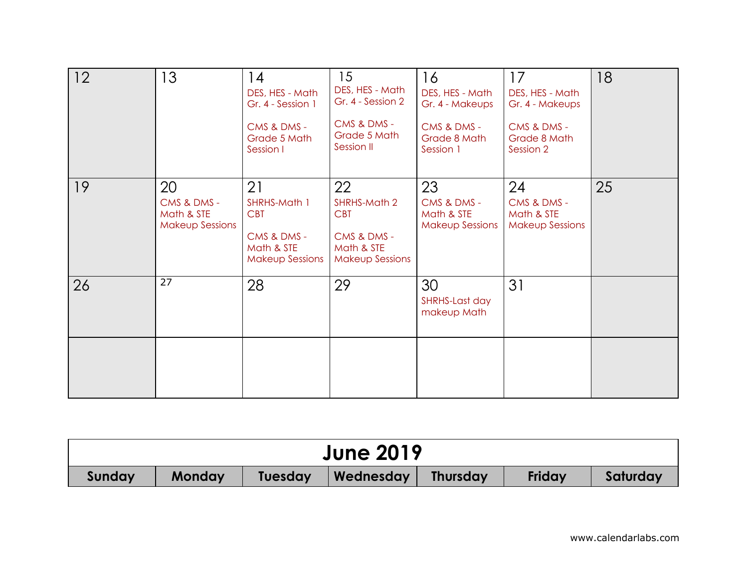| 12 | 13                                                        | 14<br>DES, HES - Math<br>Gr. 4 - Session 1<br>CMS & DMS -<br>Grade 5 Math<br>Session I  | 15<br>DES, HES - Math<br>Gr. 4 - Session 2<br>CMS & DMS -<br>Grade 5 Math<br>Session II | 16<br>DES, HES - Math<br>Gr. 4 - Makeups<br>CMS & DMS -<br>Grade 8 Math<br>Session 1 | 17<br>DES, HES - Math<br>Gr. 4 - Makeups<br>CMS & DMS -<br>Grade 8 Math<br>Session 2 | 18 |
|----|-----------------------------------------------------------|-----------------------------------------------------------------------------------------|-----------------------------------------------------------------------------------------|--------------------------------------------------------------------------------------|--------------------------------------------------------------------------------------|----|
| 19 | 20<br>CMS & DMS -<br>Math & STE<br><b>Makeup Sessions</b> | 21<br>SHRHS-Math 1<br><b>CBT</b><br>CMS & DMS -<br>Math & STE<br><b>Makeup Sessions</b> | 22<br>SHRHS-Math 2<br><b>CBT</b><br>CMS & DMS -<br>Math & STE<br><b>Makeup Sessions</b> | 23<br>CMS & DMS -<br>Math & STE<br><b>Makeup Sessions</b>                            | 24<br>CMS & DMS -<br>Math & STE<br><b>Makeup Sessions</b>                            | 25 |
| 26 | 27                                                        | 28                                                                                      | 29                                                                                      | 30<br>SHRHS-Last day<br>makeup Math                                                  | 31                                                                                   |    |
|    |                                                           |                                                                                         |                                                                                         |                                                                                      |                                                                                      |    |

|        | <b>June 2019</b> |                |           |                 |        |          |  |  |
|--------|------------------|----------------|-----------|-----------------|--------|----------|--|--|
| Sunday | Monday           | <b>Tuesday</b> | Wednesday | <b>Thursday</b> | Friday | Saturday |  |  |